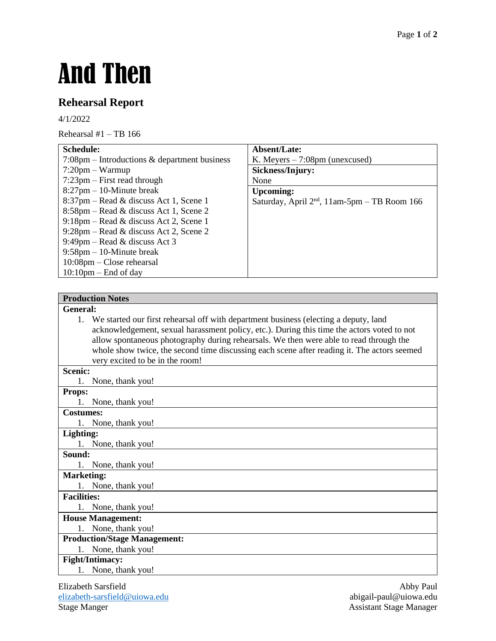# And Then

# **Rehearsal Report**

4/1/2022

Rehearsal  $#1 - TB$  166

| <b>Schedule:</b>                                         | Absent/Late:                                   |
|----------------------------------------------------------|------------------------------------------------|
| $7:08 \text{pm}$ – Introductions & department business   | K. Meyers $-7:08$ pm (unexcused)               |
| $7:20$ pm – Warmup                                       | Sickness/Injury:                               |
| $7:23$ pm – First read through                           | None                                           |
| $8:27$ pm $-10$ -Minute break                            | <b>Upcoming:</b>                               |
| $8:37$ pm – Read & discuss Act 1, Scene 1                | Saturday, April $2nd$ , 11am-5pm – TB Room 166 |
| $8:58$ pm – Read & discuss Act 1, Scene 2                |                                                |
| $9:18 \text{pm} - \text{Read} \&$ discuss Act 2, Scene 1 |                                                |
| $9:28 \text{pm} - \text{Read} \&$ discuss Act 2, Scene 2 |                                                |
| 9:49pm – Read & discuss Act 3                            |                                                |
| $9:58$ pm $-10$ -Minute break                            |                                                |
| $10:08$ pm – Close rehearsal                             |                                                |
| $10:10$ pm – End of day                                  |                                                |

#### **Production Notes**

#### **General:**

1. We started our first rehearsal off with department business (electing a deputy, land acknowledgement, sexual harassment policy, etc.). During this time the actors voted to not allow spontaneous photography during rehearsals. We then were able to read through the whole show twice, the second time discussing each scene after reading it. The actors seemed very excited to be in the room!

#### **Scenic:**

|               | 1. None, thank you! |  |
|---------------|---------------------|--|
| <b>Props:</b> |                     |  |

1. None, thank you!

#### **Costumes:**

1. None, thank you!

**Lighting:** 1. None, thank you!

### **Sound:**

1. None, thank you!

#### **Marketing:**

1. None, thank you!

#### **Facilities:**

1. None, thank you!

## **House Management:**

1. None, thank you!

## **Production/Stage Management:**

1. None, thank you!

## **Fight/Intimacy:**

1. None, thank you!

Elizabeth Sarsfield Abby Paul [elizabeth-sarsfield@uiowa.edu](mailto:elizabeth-sarsfield@uiowa.edu) abigail-paul@uiowa.edu Stage Manger **Assistant Stage Manager** Assistant Stage Manager